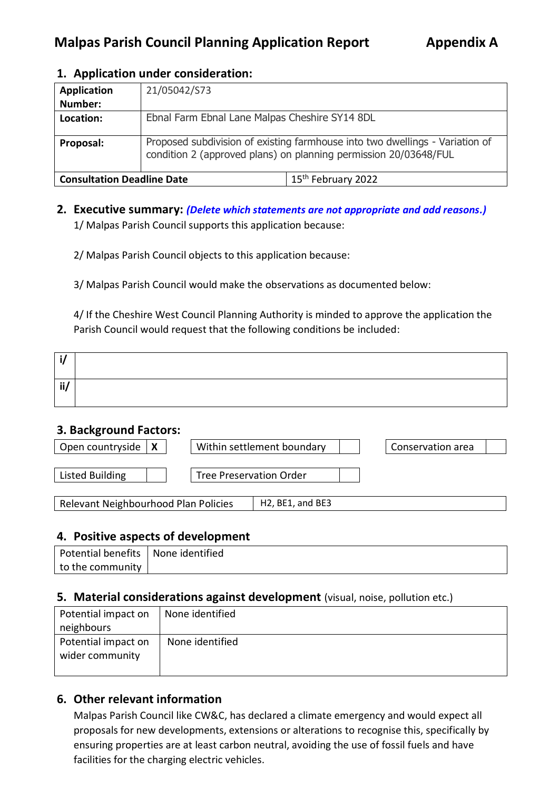#### **1. Application under consideration:**

| <b>Application</b>                | 21/05042/S73                                                                                                                                     |                                |  |
|-----------------------------------|--------------------------------------------------------------------------------------------------------------------------------------------------|--------------------------------|--|
| Number:                           | Ebnal Farm Ebnal Lane Malpas Cheshire SY14 8DL                                                                                                   |                                |  |
| Location:                         |                                                                                                                                                  |                                |  |
| Proposal:                         | Proposed subdivision of existing farmhouse into two dwellings - Variation of<br>condition 2 (approved plans) on planning permission 20/03648/FUL |                                |  |
| <b>Consultation Deadline Date</b> |                                                                                                                                                  | 15 <sup>th</sup> February 2022 |  |

## **2. Executive summary:** *(Delete which statements are not appropriate and add reasons.)* 1/ Malpas Parish Council supports this application because:

2/ Malpas Parish Council objects to this application because:

3/ Malpas Parish Council would make the observations as documented below:

4/ If the Cheshire West Council Planning Authority is minded to approve the application the Parish Council would request that the following conditions be included:

| Ħ<br> |  |
|-------|--|

#### **3. Background Factors:**

| Open countryside                     |  | Within settlement boundary                             |  |  | Conservation area |  |
|--------------------------------------|--|--------------------------------------------------------|--|--|-------------------|--|
|                                      |  |                                                        |  |  |                   |  |
| <b>Listed Building</b>               |  | <b>Tree Preservation Order</b>                         |  |  |                   |  |
|                                      |  |                                                        |  |  |                   |  |
| Relevant Neighbourhood Plan Policies |  | H <sub>2</sub> , BE <sub>1</sub> , and BE <sub>3</sub> |  |  |                   |  |

## **4. Positive aspects of development**

| Potential benefits   None identified |  |
|--------------------------------------|--|
| to the community                     |  |

#### **5. Material considerations against development** (visual, noise, pollution etc.)

| Potential impact on | None identified |
|---------------------|-----------------|
| neighbours          |                 |
| Potential impact on | None identified |
| wider community     |                 |
|                     |                 |

## **6. Other relevant information**

Malpas Parish Council like CW&C, has declared a climate emergency and would expect all proposals for new developments, extensions or alterations to recognise this, specifically by ensuring properties are at least carbon neutral, avoiding the use of fossil fuels and have facilities for the charging electric vehicles.